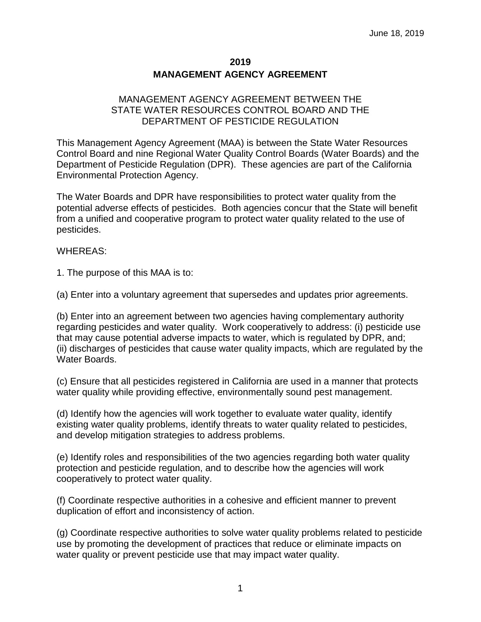## **2019 MANAGEMENT AGENCY AGREEMENT**

## MANAGEMENT AGENCY AGREEMENT BETWEEN THE STATE WATER RESOURCES CONTROL BOARD AND THE DEPARTMENT OF PESTICIDE REGULATION

This Management Agency Agreement (MAA) is between the State Water Resources Control Board and nine Regional Water Quality Control Boards (Water Boards) and the Department of Pesticide Regulation (DPR). These agencies are part of the California Environmental Protection Agency.

The Water Boards and DPR have responsibilities to protect water quality from the potential adverse effects of pesticides. Both agencies concur that the State will benefit from a unified and cooperative program to protect water quality related to the use of pesticides.

#### WHEREAS:

1. The purpose of this MAA is to:

(a) Enter into a voluntary agreement that supersedes and updates prior agreements.

(b) Enter into an agreement between two agencies having complementary authority regarding pesticides and water quality. Work cooperatively to address: (i) pesticide use that may cause potential adverse impacts to water, which is regulated by DPR, and; (ii) discharges of pesticides that cause water quality impacts, which are regulated by the Water Boards.

(c) Ensure that all pesticides registered in California are used in a manner that protects water quality while providing effective, environmentally sound pest management.

(d) Identify how the agencies will work together to evaluate water quality, identify existing water quality problems, identify threats to water quality related to pesticides, and develop mitigation strategies to address problems.

(e) Identify roles and responsibilities of the two agencies regarding both water quality protection and pesticide regulation, and to describe how the agencies will work cooperatively to protect water quality.

(f) Coordinate respective authorities in a cohesive and efficient manner to prevent duplication of effort and inconsistency of action.

(g) Coordinate respective authorities to solve water quality problems related to pesticide use by promoting the development of practices that reduce or eliminate impacts on water quality or prevent pesticide use that may impact water quality.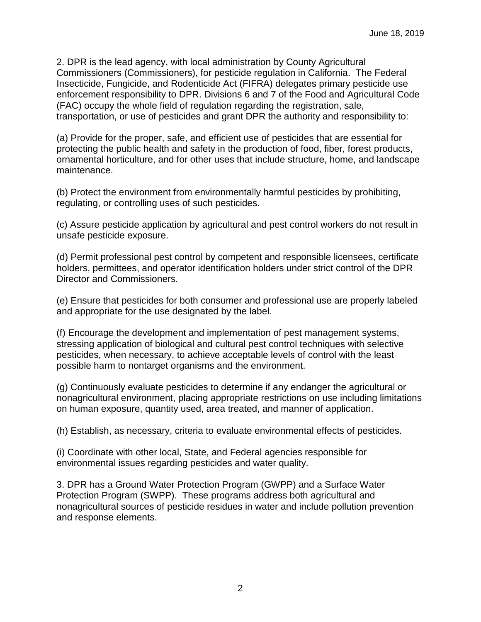2. DPR is the lead agency, with local administration by County Agricultural Commissioners (Commissioners), for pesticide regulation in California. The Federal Insecticide, Fungicide, and Rodenticide Act (FIFRA) delegates primary pesticide use enforcement responsibility to DPR. Divisions 6 and 7 of the Food and Agricultural Code (FAC) occupy the whole field of regulation regarding the registration, sale, transportation, or use of pesticides and grant DPR the authority and responsibility to:

(a) Provide for the proper, safe, and efficient use of pesticides that are essential for protecting the public health and safety in the production of food, fiber, forest products, ornamental horticulture, and for other uses that include structure, home, and landscape maintenance.

(b) Protect the environment from environmentally harmful pesticides by prohibiting, regulating, or controlling uses of such pesticides.

(c) Assure pesticide application by agricultural and pest control workers do not result in unsafe pesticide exposure.

(d) Permit professional pest control by competent and responsible licensees, certificate holders, permittees, and operator identification holders under strict control of the DPR Director and Commissioners.

(e) Ensure that pesticides for both consumer and professional use are properly labeled and appropriate for the use designated by the label.

(f) Encourage the development and implementation of pest management systems, stressing application of biological and cultural pest control techniques with selective pesticides, when necessary, to achieve acceptable levels of control with the least possible harm to nontarget organisms and the environment.

(g) Continuously evaluate pesticides to determine if any endanger the agricultural or nonagricultural environment, placing appropriate restrictions on use including limitations on human exposure, quantity used, area treated, and manner of application.

(h) Establish, as necessary, criteria to evaluate environmental effects of pesticides.

(i) Coordinate with other local, State, and Federal agencies responsible for environmental issues regarding pesticides and water quality.

3. DPR has a Ground Water Protection Program (GWPP) and a Surface Water Protection Program (SWPP). These programs address both agricultural and nonagricultural sources of pesticide residues in water and include pollution prevention and response elements.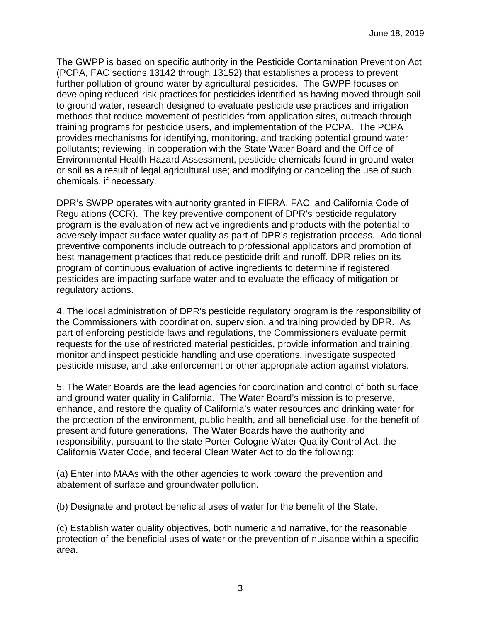The GWPP is based on specific authority in the Pesticide Contamination Prevention Act (PCPA, FAC sections 13142 through 13152) that establishes a process to prevent further pollution of ground water by agricultural pesticides. The GWPP focuses on developing reduced-risk practices for pesticides identified as having moved through soil to ground water, research designed to evaluate pesticide use practices and irrigation methods that reduce movement of pesticides from application sites, outreach through training programs for pesticide users, and implementation of the PCPA. The PCPA provides mechanisms for identifying, monitoring, and tracking potential ground water pollutants; reviewing, in cooperation with the State Water Board and the Office of Environmental Health Hazard Assessment, pesticide chemicals found in ground water or soil as a result of legal agricultural use; and modifying or canceling the use of such chemicals, if necessary.

DPR's SWPP operates with authority granted in FIFRA, FAC, and California Code of Regulations (CCR). The key preventive component of DPR's pesticide regulatory program is the evaluation of new active ingredients and products with the potential to adversely impact surface water quality as part of DPR's registration process. Additional preventive components include outreach to professional applicators and promotion of best management practices that reduce pesticide drift and runoff. DPR relies on its program of continuous evaluation of active ingredients to determine if registered pesticides are impacting surface water and to evaluate the efficacy of mitigation or regulatory actions.

4. The local administration of DPR's pesticide regulatory program is the responsibility of the Commissioners with coordination, supervision, and training provided by DPR. As part of enforcing pesticide laws and regulations, the Commissioners evaluate permit requests for the use of restricted material pesticides, provide information and training, monitor and inspect pesticide handling and use operations, investigate suspected pesticide misuse, and take enforcement or other appropriate action against violators.

5. The Water Boards are the lead agencies for coordination and control of both surface and ground water quality in California. The Water Board's mission is to preserve, enhance, and restore the quality of California's water resources and drinking water for the protection of the environment, public health, and all beneficial use, for the benefit of present and future generations. The Water Boards have the authority and responsibility, pursuant to the state Porter-Cologne Water Quality Control Act, the California Water Code, and federal Clean Water Act to do the following:

(a) Enter into MAAs with the other agencies to work toward the prevention and abatement of surface and groundwater pollution.

(b) Designate and protect beneficial uses of water for the benefit of the State.

(c) Establish water quality objectives, both numeric and narrative, for the reasonable protection of the beneficial uses of water or the prevention of nuisance within a specific area.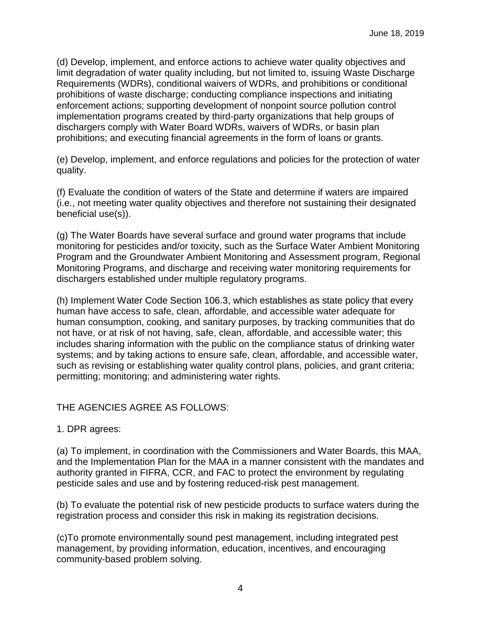(d) Develop, implement, and enforce actions to achieve water quality objectives and limit degradation of water quality including, but not limited to, issuing Waste Discharge Requirements (WDRs), conditional waivers of WDRs, and prohibitions or conditional prohibitions of waste discharge; conducting compliance inspections and initiating enforcement actions; supporting development of nonpoint source pollution control implementation programs created by third-party organizations that help groups of dischargers comply with Water Board WDRs, waivers of WDRs, or basin plan prohibitions; and executing financial agreements in the form of loans or grants.

(e) Develop, implement, and enforce regulations and policies for the protection of water quality.

(f) Evaluate the condition of waters of the State and determine if waters are impaired (i.e., not meeting water quality objectives and therefore not sustaining their designated beneficial use(s)).

(g) The Water Boards have several surface and ground water programs that include monitoring for pesticides and/or toxicity, such as the Surface Water Ambient Monitoring Program and the Groundwater Ambient Monitoring and Assessment program, Regional Monitoring Programs, and discharge and receiving water monitoring requirements for dischargers established under multiple regulatory programs.

(h) Implement Water Code Section 106.3, which establishes as state policy that every human have access to safe, clean, affordable, and accessible water adequate for human consumption, cooking, and sanitary purposes, by tracking communities that do not have, or at risk of not having, safe, clean, affordable, and accessible water; this includes sharing information with the public on the compliance status of drinking water systems; and by taking actions to ensure safe, clean, affordable, and accessible water, such as revising or establishing water quality control plans, policies, and grant criteria; permitting; monitoring; and administering water rights.

# THE AGENCIES AGREE AS FOLLOWS:

### 1. DPR agrees:

(a) To implement, in coordination with the Commissioners and Water Boards, this MAA, and the Implementation Plan for the MAA in a manner consistent with the mandates and authority granted in FIFRA, CCR, and FAC to protect the environment by regulating pesticide sales and use and by fostering reduced-risk pest management.

(b) To evaluate the potential risk of new pesticide products to surface waters during the registration process and consider this risk in making its registration decisions.

(c)To promote environmentally sound pest management, including integrated pest management, by providing information, education, incentives, and encouraging community-based problem solving.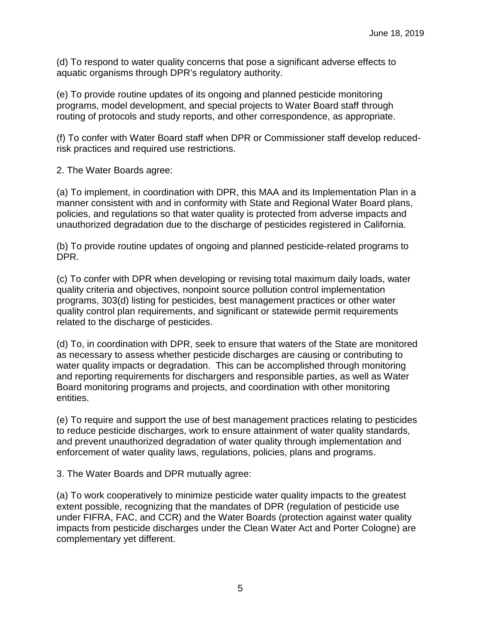(d) To respond to water quality concerns that pose a significant adverse effects to aquatic organisms through DPR's regulatory authority.

(e) To provide routine updates of its ongoing and planned pesticide monitoring programs, model development, and special projects to Water Board staff through routing of protocols and study reports, and other correspondence, as appropriate.

(f) To confer with Water Board staff when DPR or Commissioner staff develop reducedrisk practices and required use restrictions.

2. The Water Boards agree:

(a) To implement, in coordination with DPR, this MAA and its Implementation Plan in a manner consistent with and in conformity with State and Regional Water Board plans, policies, and regulations so that water quality is protected from adverse impacts and unauthorized degradation due to the discharge of pesticides registered in California.

(b) To provide routine updates of ongoing and planned pesticide-related programs to DPR.

(c) To confer with DPR when developing or revising total maximum daily loads, water quality criteria and objectives, nonpoint source pollution control implementation programs, 303(d) listing for pesticides, best management practices or other water quality control plan requirements, and significant or statewide permit requirements related to the discharge of pesticides.

(d) To, in coordination with DPR, seek to ensure that waters of the State are monitored as necessary to assess whether pesticide discharges are causing or contributing to water quality impacts or degradation. This can be accomplished through monitoring and reporting requirements for dischargers and responsible parties, as well as Water Board monitoring programs and projects, and coordination with other monitoring entities.

(e) To require and support the use of best management practices relating to pesticides to reduce pesticide discharges, work to ensure attainment of water quality standards, and prevent unauthorized degradation of water quality through implementation and enforcement of water quality laws, regulations, policies, plans and programs.

3. The Water Boards and DPR mutually agree:

(a) To work cooperatively to minimize pesticide water quality impacts to the greatest extent possible, recognizing that the mandates of DPR (regulation of pesticide use under FIFRA, FAC, and CCR) and the Water Boards (protection against water quality impacts from pesticide discharges under the Clean Water Act and Porter Cologne) are complementary yet different.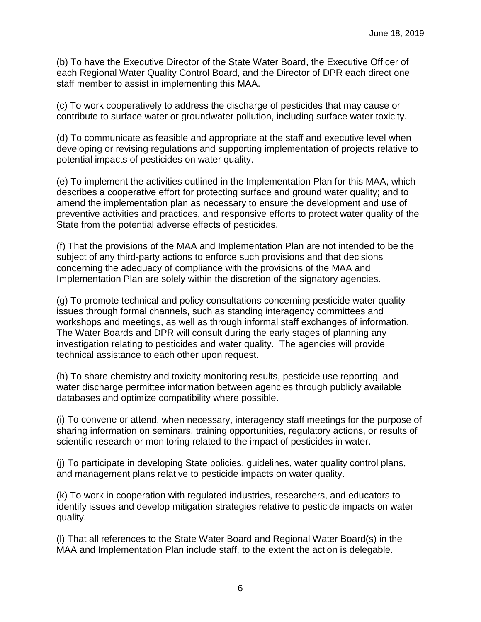(b) To have the Executive Director of the State Water Board, the Executive Officer of each Regional Water Quality Control Board, and the Director of DPR each direct one staff member to assist in implementing this MAA.

(c) To work cooperatively to address the discharge of pesticides that may cause or contribute to surface water or groundwater pollution, including surface water toxicity.

(d) To communicate as feasible and appropriate at the staff and executive level when developing or revising regulations and supporting implementation of projects relative to potential impacts of pesticides on water quality.

(e) To implement the activities outlined in the Implementation Plan for this MAA, which describes a cooperative effort for protecting surface and ground water quality; and to amend the implementation plan as necessary to ensure the development and use of preventive activities and practices, and responsive efforts to protect water quality of the State from the potential adverse effects of pesticides.

(f) That the provisions of the MAA and Implementation Plan are not intended to be the subject of any third-party actions to enforce such provisions and that decisions concerning the adequacy of compliance with the provisions of the MAA and Implementation Plan are solely within the discretion of the signatory agencies.

(g) To promote technical and policy consultations concerning pesticide water quality issues through formal channels, such as standing interagency committees and workshops and meetings, as well as through informal staff exchanges of information. The Water Boards and DPR will consult during the early stages of planning any investigation relating to pesticides and water quality. The agencies will provide technical assistance to each other upon request.

(h) To share chemistry and toxicity monitoring results, pesticide use reporting, and water discharge permittee information between agencies through publicly available databases and optimize compatibility where possible.

(i) To convene or attend, when necessary, interagency staff meetings for the purpose of sharing information on seminars, training opportunities, regulatory actions, or results of scientific research or monitoring related to the impact of pesticides in water.

(j) To participate in developing State policies, guidelines, water quality control plans, and management plans relative to pesticide impacts on water quality.

(k) To work in cooperation with regulated industries, researchers, and educators to identify issues and develop mitigation strategies relative to pesticide impacts on water quality.

(l) That all references to the State Water Board and Regional Water Board(s) in the MAA and Implementation Plan include staff, to the extent the action is delegable.